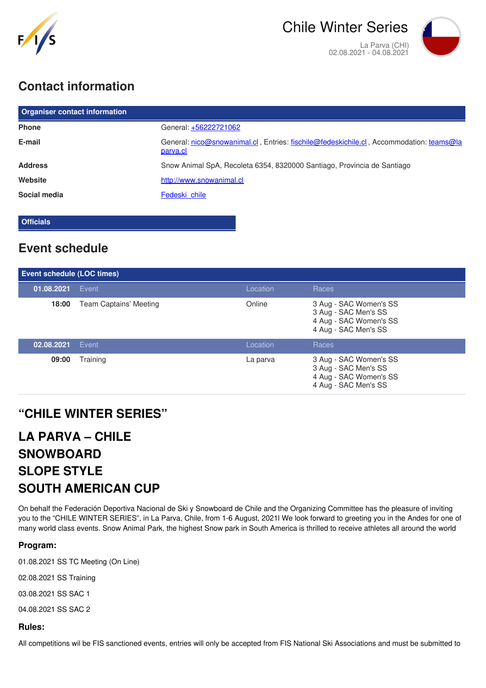

## **Contact information**

| <b>Organiser contact information</b> |                                                                                                     |  |  |
|--------------------------------------|-----------------------------------------------------------------------------------------------------|--|--|
| <b>Phone</b>                         | General: +56222721062                                                                               |  |  |
| E-mail                               | General: nico@snowanimal.cl, Entries: fischile@fedeskichile.cl, Accommodation: teams@la<br>parva.cl |  |  |
| <b>Address</b>                       | Snow Animal SpA, Recoleta 6354, 8320000 Santiago, Provincia de Santiago                             |  |  |
| Website                              | http://www.snowanimal.cl                                                                            |  |  |
| Social media                         | Fedeski chile                                                                                       |  |  |

**Officials**

### **Event schedule**

| Event schedule (LOC times) |                               |          |                                                                                                  |  |
|----------------------------|-------------------------------|----------|--------------------------------------------------------------------------------------------------|--|
| 01.08.2021                 | Event                         | Location | Races                                                                                            |  |
| 18:00                      | <b>Team Captains' Meeting</b> | Online   | 3 Aug - SAC Women's SS<br>3 Aug - SAC Men's SS<br>4 Aug - SAC Women's SS<br>4 Aug - SAC Men's SS |  |
| 02.08.2021                 | Event                         | Location | Races                                                                                            |  |
| 09:00                      | Training                      | La parva | 3 Aug - SAC Women's SS<br>3 Aug - SAC Men's SS<br>4 Aug - SAC Women's SS<br>4 Aug - SAC Men's SS |  |

### **"CHILE WINTER SERIES"**

# **LA PARVA – CHILE SNOWBOARD SLOPE STYLE SOUTH AMERICAN CUP**

On behalf the Federación Deportiva Nacional de Ski y Snowboard de Chile and the Organizing Committee has the pleasure of inviting you to the "CHILE WINTER SERIES", in La Parva, Chile, from 1-6 August, 2021l We look forward to greeting you in the Andes for one of many world class events. Snow Animal Park, the highest Snow park in South America is thrilled to receive athletes all around the world

#### **Program:**

01.08.2021 SS TC Meeting (On Line)

02.08.2021 SS Training

03.08.2021 SS SAC 1

04.08.2021 SS SAC 2

#### **Rules:**

All competitions wil be FIS sanctioned events, entries will only be accepted from FIS National Ski Associations and must be submitted to